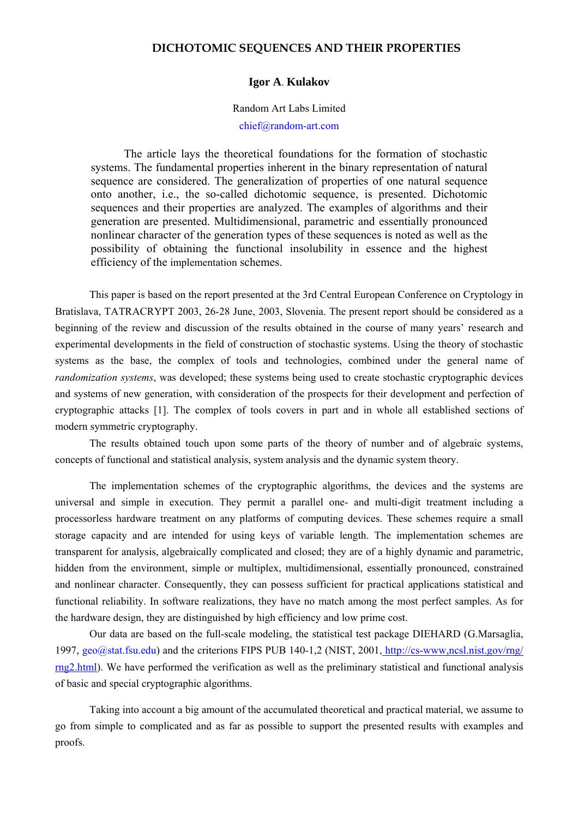# **DICHOTOMIC SEQUENCES AND THEIR PROPERTIES**

#### **Igor A**. **Kulakov**

#### Random Art Labs Limited

## chief@random-art.com

 The article lays the theoretical foundations for the formation of stochastic systems. The fundamental properties inherent in the binary representation of natural sequence are considered. The generalization of properties of one natural sequence onto another, i.e., the so-called dichotomic sequence, is presented. Dichotomic sequences and their properties are analyzed. The examples of algorithms and their generation are presented. Multidimensional, parametric and essentially pronounced nonlinear character of the generation types of these sequences is noted as well as the possibility of obtaining the functional insolubility in essence and the highest efficiency of the implementation schemes.

This paper is based on the report presented at the 3rd Central European Conference on Cryptology in Bratislava, TATRACRYPT 2003, 26-28 June, 2003, Slovenia. The present report should be considered as a beginning of the review and discussion of the results obtained in the course of many years' research and experimental developments in the field of construction of stochastic systems. Using the theory of stochastic systems as the base, the complex of tools and technologies, combined under the general name of *randomization systems*, was developed; these systems being used to create stochastic cryptographic devices and systems of new generation, with consideration of the prospects for their development and perfection of cryptographic attacks [1]. The complex of tools covers in part and in whole all established sections of modern symmetric cryptography.

The results obtained touch upon some parts of the theory of number and of algebraic systems, concepts of functional and statistical analysis, system analysis and the dynamic system theory.

The implementation schemes of the cryptographic algorithms, the devices and the systems are universal and simple in execution. They permit a parallel one- and multi-digit treatment including a processorless hardware treatment on any platforms of computing devices. These schemes require a small storage capacity and are intended for using keys of variable length. The implementation schemes are transparent for analysis, algebraically complicated and closed; they are of a highly dynamic and parametric, hidden from the environment, simple or multiplex, multidimensional, essentially pronounced, constrained and nonlinear character. Consequently, they can possess sufficient for practical applications statistical and functional reliability. In software realizations, they have no match among the most perfect samples. As for the hardware design, they are distinguished by high efficiency and low prime cost.

Our data are based on the full-scale modeling, the statistical test package DIEHARD (G.Marsaglia, 1997, geo@stat.fsu.edu) and the criterions FIPS PUB 140-1,2 (NIST, 2001, [http://cs-www,ncsl.nist.gov/rng/](http://cs-www,ncsl.nist.gov/rng/ rng2)  [rng2.](http://cs-www,ncsl.nist.gov/rng/ rng2)html). We have performed the verification as well as the preliminary statistical and functional analysis of basic and special cryptographic algorithms.

Taking into account a big amount of the accumulated theoretical and practical material, we assume to go from simple to complicated and as far as possible to support the presented results with examples and proofs.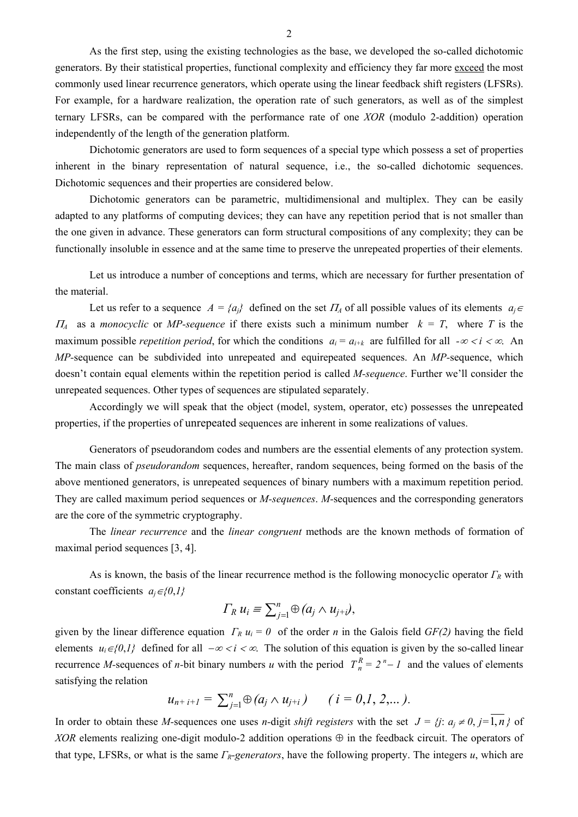As the first step, using the existing technologies as the base, we developed the so-called dichotomic generators. By their statistical properties, functional complexity and efficiency they far more exceed the most commonly used linear recurrence generators, which operate using the linear feedback shift registers (LFSRs). For example, for a hardware realization, the operation rate of such generators, as well as of the simplest ternary LFSRs, can be compared with the performance rate of one *XOR* (modulo 2-addition) operation independently of the length of the generation platform.

Dichotomic generators are used to form sequences of a special type which possess a set of properties inherent in the binary representation of natural sequence, i.e., the so-called dichotomic sequences. Dichotomic sequences and their properties are considered below.

Dichotomic generators can be parametric, multidimensional and multiplex. They can be easily adapted to any platforms of computing devices; they can have any repetition period that is not smaller than the one given in advance. These generators can form structural compositions of any complexity; they can be functionally insoluble in essence and at the same time to preserve the unrepeated properties of their elements.

Let us introduce a number of conceptions and terms, which are necessary for further presentation of the material.

Let us refer to a sequence  $A = \{a_i\}$  defined on the set  $\Pi_A$  of all possible values of its elements  $a_i \in \Pi_A$  $\Pi_A$  as a *monocyclic* or *MP-sequence* if there exists such a minimum number  $k = T$ , where *T* is the maximum possible *repetition period*, for which the conditions  $a_i = a_{i+k}$  are fulfilled for all  $-\infty < i < \infty$ . An *MP-*sequence can be subdivided into unrepeated and equirepeated sequences. An *MP-*sequence, which doesn't contain equal elements within the repetition period is called *M-sequence*. Further we'll consider the unrepeated sequences. Other types of sequences are stipulated separately.

Accordingly we will speak that the object (model, system, operator, etc) possesses the unrepeated properties, if the properties of unrepeated sequences are inherent in some realizations of values.

Generators of pseudorandom codes and numbers are the essential elements of any protection system. The main class of *pseudorandom* sequences, hereafter, random sequences, being formed on the basis of the above mentioned generators, is unrepeated sequences of binary numbers with a maximum repetition period. They are called maximum period sequences or *M-sequences*. *M-*sequences and the corresponding generators are the core of the symmetric cryptography.

The *linear recurrence* and the *linear congruent* methods are the known methods of formation of maximal period sequences [3, 4].

As is known, the basis of the linear recurrence method is the following monocyclic operator *ΓR* with constant coefficients  $a_i \in \{0, 1\}$ 

$$
\Gamma_R u_i \equiv \sum_{j=1}^n \oplus (a_j \wedge u_{j+i}),
$$

given by the linear difference equation  $\Gamma_R u_i = 0$  of the order *n* in the Galois field *GF(2)* having the field elements  $u_i \in \{0,1\}$  defined for all  $-\infty < i < \infty$ . The solution of this equation is given by the so-called linear recurrence *M*-sequences of *n*-bit binary numbers *u* with the period  $T_n^R = 2^n - I$  and the values of elements satisfying the relation

$$
u_{n+i+1} = \sum_{j=1}^n \oplus (a_j \wedge u_{j+i}) \qquad (i = 0, 1, 2, ...).
$$

In order to obtain these *M*-sequences one uses *n*-digit *shift registers* with the set  $J = \{j : a_j \neq 0, j = 1, n\}$  of *XOR* elements realizing one-digit modulo-2 addition operations  $\oplus$  in the feedback circuit. The operators of that type, LFSRs, or what is the same *ΓR-generators*, have the following property. The integers *u*, which are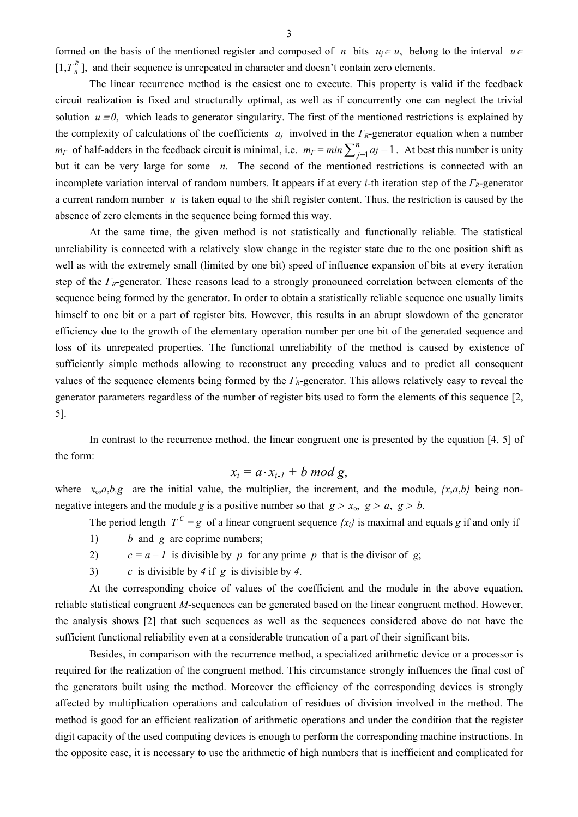formed on the basis of the mentioned register and composed of *n* bits  $u_i \in u$ , belong to the interval  $u \in$  $[1, T_n^R]$ , and their sequence is unrepeated in character and doesn't contain zero elements.

The linear recurrence method is the easiest one to execute. This property is valid if the feedback circuit realization is fixed and structurally optimal, as well as if concurrently one can neglect the trivial solution  $u = 0$ , which leads to generator singularity. The first of the mentioned restrictions is explained by the complexity of calculations of the coefficients *aj* involved in the *ΓR*-generator equation when a number *m*<sub>*Γ*</sub> of half-adders in the feedback circuit is minimal, i.e.  $m_F = min \sum_{j=1}^{n} a_j - 1$ . At best this number is unity but it can be very large for some *n*. The second of the mentioned restrictions is connected with an incomplete variation interval of random numbers. It appears if at every *i-*th iteration step of the *Γ <sup>R</sup>*-generator a current random number *u* is taken equal to the shift register content. Thus, the restriction is caused by the absence of zero elements in the sequence being formed this way.

At the same time, the given method is not statistically and functionally reliable. The statistical unreliability is connected with a relatively slow change in the register state due to the one position shift as well as with the extremely small (limited by one bit) speed of influence expansion of bits at every iteration step of the *ΓR*-generator. These reasons lead to a strongly pronounced correlation between elements of the sequence being formed by the generator. In order to obtain a statistically reliable sequence one usually limits himself to one bit or a part of register bits. However, this results in an abrupt slowdown of the generator efficiency due to the growth of the elementary operation number per one bit of the generated sequence and loss of its unrepeated properties. The functional unreliability of the method is caused by existence of sufficiently simple methods allowing to reconstruct any preceding values and to predict all consequent values of the sequence elements being formed by the *ΓR*-generator. This allows relatively easy to reveal the generator parameters regardless of the number of register bits used to form the elements of this sequence [2, 5].

In contrast to the recurrence method, the linear congruent one is presented by the equation [4, 5] of the form:

$$
x_i = a \cdot x_{i-1} + b \mod g,
$$

where  $x_0$ ,*a*,*b*,*g* are the initial value, the multiplier, the increment, and the module,  $\{x, a, b\}$  being nonnegative integers and the module *g* is a positive number so that  $g > x_0$ ,  $g > a$ ,  $g > b$ .

The period length  $T^c = g$  of a linear congruent sequence  $\{x_i\}$  is maximal and equals *g* if and only if

- 1) *b* and *g* are coprime numbers;
- 2)  $c = a 1$  is divisible by *p* for any prime *p* that is the divisor of *g*;
- 3) *c* is divisible by *4* if *g* is divisible by *4*.

At the corresponding choice of values of the coefficient and the module in the above equation, reliable statistical congruent *M-*sequences can be generated based on the linear congruent method. However, the analysis shows [2] that such sequences as well as the sequences considered above do not have the sufficient functional reliability even at a considerable truncation of a part of their significant bits.

Besides, in comparison with the recurrence method, a specialized arithmetic device or a processor is required for the realization of the congruent method. This circumstance strongly influences the final cost of the generators built using the method. Moreover the efficiency of the corresponding devices is strongly affected by multiplication operations and calculation of residues of division involved in the method. The method is good for an efficient realization of arithmetic operations and under the condition that the register digit capacity of the used computing devices is enough to perform the corresponding machine instructions. In the opposite case, it is necessary to use the arithmetic of high numbers that is inefficient and complicated for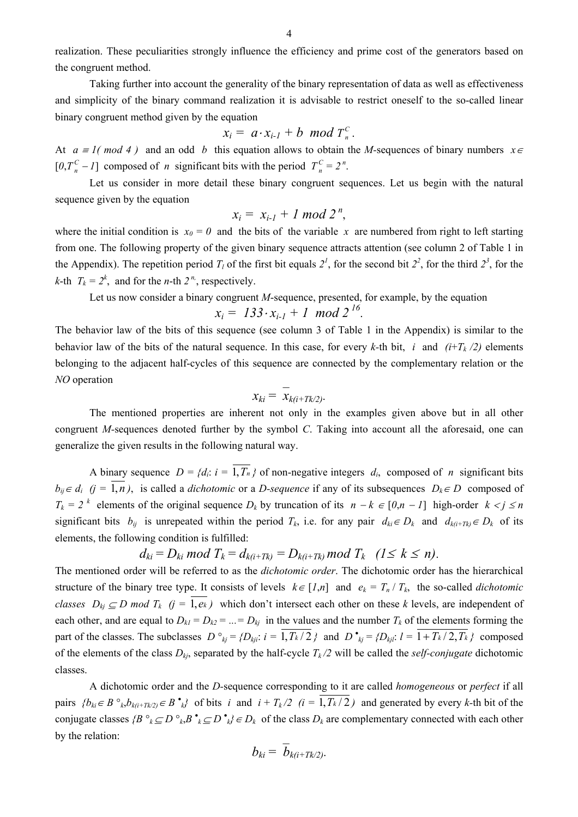realization. These peculiarities strongly influence the efficiency and prime cost of the generators based on the congruent method.

Taking further into account the generality of the binary representation of data as well as effectiveness and simplicity of the binary command realization it is advisable to restrict oneself to the so-called linear binary congruent method given by the equation

$$
x_i = a \cdot x_{i-1} + b \mod T_n^c.
$$

At  $a \equiv 1 \pmod{4}$  and an odd *b* this equation allows to obtain the *M*-sequences of binary numbers  $x \in$  $[0, T_n^C - I]$  composed of *n* significant bits with the period  $T_n^C = 2^n$ .

Let us consider in more detail these binary congruent sequences. Let us begin with the natural sequence given by the equation

$$
x_i = x_{i-1} + 1 \bmod 2^n,
$$

where the initial condition is  $x_0 = 0$  and the bits of the variable x are numbered from right to left starting from one. The following property of the given binary sequence attracts attention (see column 2 of Table 1 in the Appendix). The repetition period  $T_l$  of the first bit equals  $2^l$ , for the second bit  $2^2$ , for the third  $2^3$ , for the *k*-th  $T_k = 2^k$ , and for the *n*-th  $2^{n}$ , respectively.

Let us now consider a binary congruent *M*-sequence, presented, for example, by the equation

$$
x_i = 133 \cdot x_{i-1} + 1 \mod 2^{16}.
$$

The behavior law of the bits of this sequence (see column 3 of Table 1 in the Appendix) is similar to the behavior law of the bits of the natural sequence. In this case, for every  $k$ -th bit, *i* and  $(i+T_k/2)$  elements belonging to the adjacent half-cycles of this sequence are connected by the complementary relation or the *NO* operation

$$
x_{ki} = x_{k(i+Tk/2)}.
$$

The mentioned properties are inherent not only in the examples given above but in all other congruent *M-*sequences denoted further by the symbol *C*. Taking into account all the aforesaid, one can generalize the given results in the following natural way.

A binary sequence  $D = \{d_i: i = \overline{1, T_n}\}\$  of non-negative integers  $d_i$ , composed of *n* significant bits  $b_{ii} \in d_i$  (*j* =  $\overline{1,n}$ ), is called a *dichotomic* or a *D-sequence* if any of its subsequences  $D_k \in D$  composed of  $T_k = 2^k$  elements of the original sequence  $D_k$  by truncation of its  $n - k \in [0, n - 1]$  high-order  $k < j \le n$ significant bits  $b_{ij}$  is unrepeated within the period  $T_k$ , i.e. for any pair  $d_{ki} \in D_k$  and  $d_{k(i+T_k)} \in D_k$  of its elements, the following condition is fulfilled:

$$
d_{ki}=D_{ki} \mod T_k=d_{k(i+Tk)}=D_{k(i+Tk)} \mod T_k \quad (1\leq k\leq n).
$$

The mentioned order will be referred to as the *dichotomic order*. The dichotomic order has the hierarchical structure of the binary tree type. It consists of levels  $k \in [1,n]$  and  $e_k = T_n / T_k$ , the so-called *dichotomic classes*  $D_{ki} \subseteq D$  *mod*  $T_k$  (*j* = 1,*ek*) which don't intersect each other on these *k* levels, are independent of each other, and are equal to  $D_{kl} = D_{k2} = ... = D_{ki}$  in the values and the number  $T_k$  of the elements forming the part of the classes. The subclasses  $D \circ_{kj} = \{D_{kji}: i = 1, T_k/2\}$  and  $D \circ_{kj} = \{D_{kji}: l = 1 + T_k/2, T_k\}$  composed of the elements of the class  $D_{kj}$ , separated by the half-cycle  $T_k/2$  will be called the *self-conjugate* dichotomic classes.

A dichotomic order and the *D-*sequence corresponding to it are called *homogeneous* or *perfect* if all pairs  $\{b_{ki} \in B \circ_k, b_{k(i+Tk/2)} \in B \circ_k\}$  of bits *i* and  $i + T_k/2$  ( $i = \overline{1, T_k/2}$ ) and generated by every *k*-th bit of the conjugate classes  $\{B \circ_k \subseteq D \circ_k B \circ_k \subseteq D \circ_k \} \in D_k$  of the class  $D_k$  are complementary connected with each other by the relation:

$$
b_{ki} = b_{k(i+Tk/2)}.
$$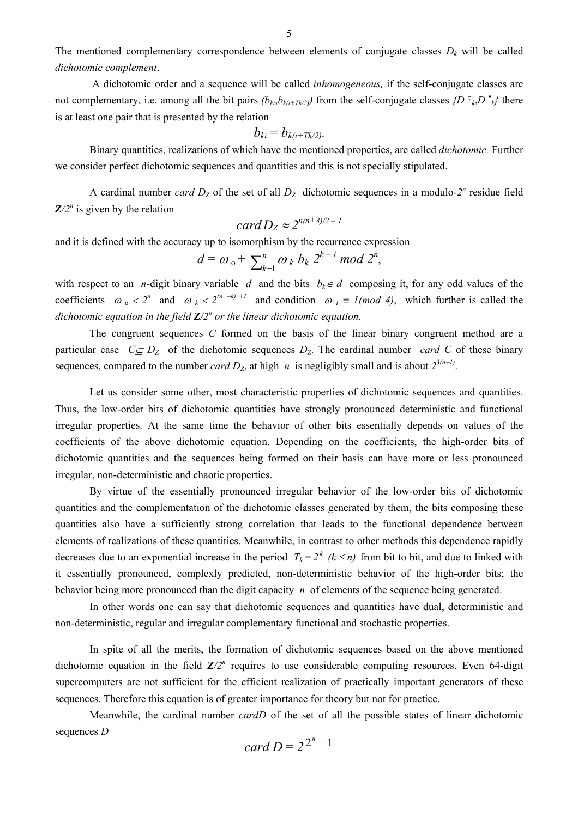The mentioned complementary correspondence between elements of conjugate classes  $D_k$  will be called *dichotomic complement*.

A dichotomic order and a sequence will be called *inhomogeneous,* if the self-conjugate classes are not complementary, i.e. among all the bit pairs  $(b_{ki}, b_{k(i+Tk/2)})$  from the self-conjugate classes  $\{D^{\circ k}, D^{\circ k}\}$  there is at least one pair that is presented by the relation

$$
b_{ki}=b_{k(i+Tk/2)}.
$$

Binary quantities, realizations of which have the mentioned properties, are called *dichotomic.* Further we consider perfect dichotomic sequences and quantities and this is not specially stipulated.

A cardinal number *card*  $D_z$  of the set of all  $D_z$  dichotomic sequences in a modulo- $2^n$  residue field  $Z/2^n$  is given by the relation

card 
$$
D_Z \approx 2^{n(n+3)/2 - 1}
$$

and it is defined with the accuracy up to isomorphism by the recurrence expression

$$
d = \omega_{\rm o} + \sum_{k=1}^n \omega_k b_k 2^{k-1} \bmod 2^n,
$$

with respect to an *n*-digit binary variable *d* and the bits  $b_k \in d$  composing it, for any odd values of the coefficients  $\omega_0 < 2^n$  and  $\omega_k < 2^{(n-k)+1}$  and condition  $\omega_i \equiv 1 \pmod{4}$ , which further is called the *dichotomic equation in the field Z/2<sup>n</sup> or the linear dichotomic equation*.

The congruent sequences *C* formed on the basis of the linear binary congruent method are a particular case  $C \subseteq D_Z$  of the dichotomic sequences  $D_Z$ . The cardinal number *card C* of these binary sequences, compared to the number *card D<sub>Z</sub>*, at high *n* is negligibly small and is about  $2^{3(n-1)}$ .

Let us consider some other, most characteristic properties of dichotomic sequences and quantities. Thus, the low-order bits of dichotomic quantities have strongly pronounced deterministic and functional irregular properties. At the same time the behavior of other bits essentially depends on values of the coefficients of the above dichotomic equation. Depending on the coefficients, the high-order bits of dichotomic quantities and the sequences being formed on their basis can have more or less pronounced irregular, non-deterministic and chaotic properties.

By virtue of the essentially pronounced irregular behavior of the low-order bits of dichotomic quantities and the complementation of the dichotomic classes generated by them, the bits composing these quantities also have a sufficiently strong correlation that leads to the functional dependence between elements of realizations of these quantities. Meanwhile, in contrast to other methods this dependence rapidly decreases due to an exponential increase in the period  $T_k = 2^k$  ( $k \le n$ ) from bit to bit, and due to linked with it essentially pronounced, complexly predicted, non-deterministic behavior of the high-order bits; the behavior being more pronounced than the digit capacity *n* of elements of the sequence being generated.

In other words one can say that dichotomic sequences and quantities have dual, deterministic and non-deterministic, regular and irregular complementary functional and stochastic properties.

In spite of all the merits, the formation of dichotomic sequences based on the above mentioned dichotomic equation in the field  $Z/2^n$  requires to use considerable computing resources. Even 64-digit supercomputers are not sufficient for the efficient realization of practically important generators of these sequences. Therefore this equation is of greater importance for theory but not for practice.

Meanwhile, the cardinal number *cardD* of the set of all the possible states of linear dichotomic sequences *D* 

$$
card\ D = 2^{2^n - 1}
$$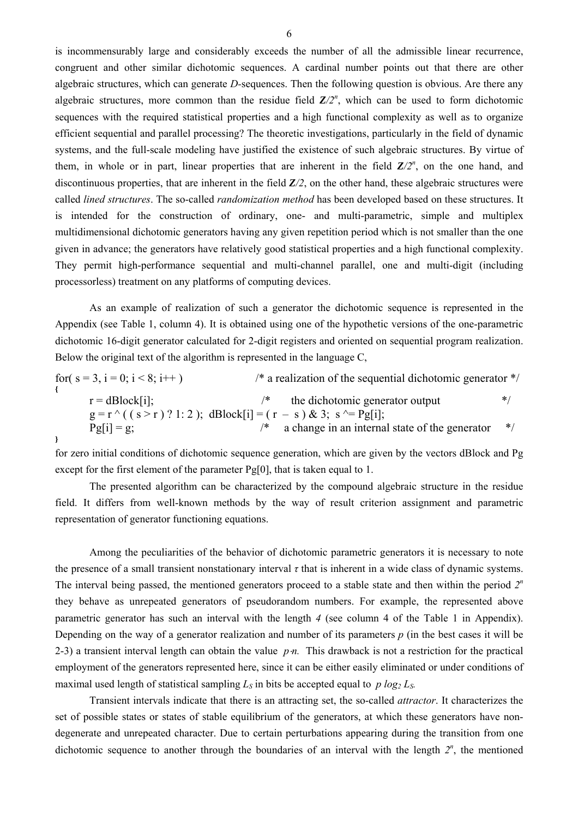is incommensurably large and considerably exceeds the number of all the admissible linear recurrence, congruent and other similar dichotomic sequences. A cardinal number points out that there are other algebraic structures, which can generate *D-*sequences. Then the following question is obvious. Are there any algebraic structures, more common than the residue field  $Z/2^n$ , which can be used to form dichotomic sequences with the required statistical properties and a high functional complexity as well as to organize efficient sequential and parallel processing? The theoretic investigations, particularly in the field of dynamic systems, and the full-scale modeling have justified the existence of such algebraic structures. By virtue of them, in whole or in part, linear properties that are inherent in the field  $Z/2^n$ , on the one hand, and discontinuous properties, that are inherent in the field *Z/2*, on the other hand, these algebraic structures were called *lined structures*. The so-called *randomization method* has been developed based on these structures. It is intended for the construction of ordinary, one- and multi-parametric, simple and multiplex multidimensional dichotomic generators having any given repetition period which is not smaller than the one given in advance; the generators have relatively good statistical properties and a high functional complexity. They permit high-performance sequential and multi-channel parallel, one and multi-digit (including processorless) treatment on any platforms of computing devices.

As an example of realization of such a generator the dichotomic sequence is represented in the Appendix (see Table 1, column 4). It is obtained using one of the hypothetic versions of the one-parametric dichotomic 16-digit generator calculated for 2-digit registers and oriented on sequential program realization. Below the original text of the algorithm is represented in the language C,

for(  $s = 3$ ,  $i = 0$ ;  $i < 8$ ;  $i++$  )  $\qquad \qquad$  /\* a realization of the sequential dichotomic generator \*/ **{**   $r = dBlock[i]$ ;  $\qquad \qquad$  /\* the dichotomic generator output  $\qquad \qquad \qquad$  \*/  $g = r^{\wedge}$  ( ( s > r ) ? 1: 2 ); dBlock[i] = ( r - s ) & 3; s ^= Pg[i];  $\text{Pg}[i] = g$ ;  $\frac{1}{2}$  a change in an internal state of the generator  $\frac{1}{2}$ **}** 

for zero initial conditions of dichotomic sequence generation, which are given by the vectors dBlock and Pg except for the first element of the parameter Pg[0], that is taken equal to 1.

The presented algorithm can be characterized by the compound algebraic structure in the residue field. It differs from well-known methods by the way of result criterion assignment and parametric representation of generator functioning equations.

Among the peculiarities of the behavior of dichotomic parametric generators it is necessary to note the presence of a small transient nonstationary interval *τ* that is inherent in a wide class of dynamic systems. The interval being passed, the mentioned generators proceed to a stable state and then within the period *2<sup>n</sup>* they behave as unrepeated generators of pseudorandom numbers. For example, the represented above parametric generator has such an interval with the length *4* (see column 4 of the Table 1 in Appendix). Depending on the way of a generator realization and number of its parameters *p* (in the best cases it will be 2-3) a transient interval length can obtain the value *p*⋅*n*. This drawback is not a restriction for the practical employment of the generators represented here, since it can be either easily eliminated or under conditions of maximal used length of statistical sampling  $L_S$  in bits be accepted equal to  $p \log_2 L_S$ .

Transient intervals indicate that there is an attracting set, the so-called *attractor*. It characterizes the set of possible states or states of stable equilibrium of the generators, at which these generators have nondegenerate and unrepeated character. Due to certain perturbations appearing during the transition from one dichotomic sequence to another through the boundaries of an interval with the length  $2^n$ , the mentioned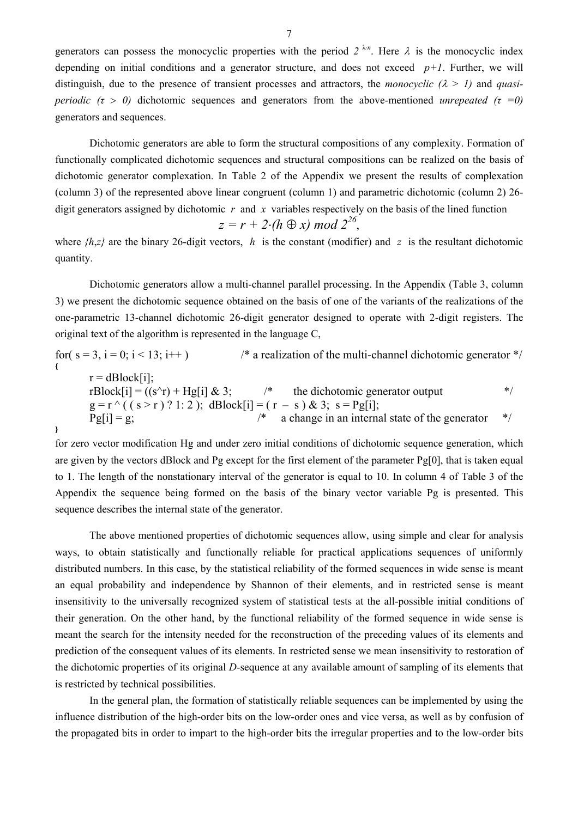generators can possess the monocyclic properties with the period  $2^{\lambda n}$ . Here  $\lambda$  is the monocyclic index depending on initial conditions and a generator structure, and does not exceed  $p+1$ . Further, we will distinguish, due to the presence of transient processes and attractors, the *monocyclic*  $(\lambda > 1)$  and *quasiperiodic*  $(τ > 0)$  dichotomic sequences and generators from the above-mentioned *unrepeated*  $(τ = 0)$ generators and sequences.

Dichotomic generators are able to form the structural compositions of any complexity. Formation of functionally complicated dichotomic sequences and structural compositions can be realized on the basis of dichotomic generator complexation. In Table 2 of the Appendix we present the results of complexation (column 3) of the represented above linear congruent (column 1) and parametric dichotomic (column 2) 26 digit generators assigned by dichotomic *r* and *x* variables respectively on the basis of the lined function

$$
z = r + 2 \cdot (h \oplus x) \bmod 2^{26},
$$

where  $\{h,z\}$  are the binary 26-digit vectors, *h* is the constant (modifier) and *z* is the resultant dichotomic quantity.

Dichotomic generators allow a multi-channel parallel processing. In the Appendix (Table 3, column 3) we present the dichotomic sequence obtained on the basis of one of the variants of the realizations of the one-parametric 13-channel dichotomic 26-digit generator designed to operate with 2-digit registers. The original text of the algorithm is represented in the language C,

for(  $s = 3$ ,  $i = 0$ ;  $i < 13$ ;  $i++$  )  $\qquad \qquad$  /\* a realization of the multi-channel dichotomic generator \*/ **{**   $r = dBlock[i];$ rBlock[i] =  $((s^r r) + Hg[i] \& 3;$  /\* the dichotomic generator output \*/  $g = r^{\wedge}$  (  $(s > r)$  ? 1: 2 ); dBlock[i] =  $(r - s)$  & 3; s = Pg[i];  $Pg[i] = g$ ;  $\frac{1}{2}$  a change in an internal state of the generator  $\frac{1}{2}$ **}** 

for zero vector modification Hg and under zero initial conditions of dichotomic sequence generation, which are given by the vectors dBlock and Pg except for the first element of the parameter Pg[0], that is taken equal to 1. The length of the nonstationary interval of the generator is equal to 10. In column 4 of Table 3 of the Appendix the sequence being formed on the basis of the binary vector variable Pg is presented. This sequence describes the internal state of the generator.

The above mentioned properties of dichotomic sequences allow, using simple and clear for analysis ways, to obtain statistically and functionally reliable for practical applications sequences of uniformly distributed numbers. In this case, by the statistical reliability of the formed sequences in wide sense is meant an equal probability and independence by Shannon of their elements, and in restricted sense is meant insensitivity to the universally recognized system of statistical tests at the all-possible initial conditions of their generation. On the other hand, by the functional reliability of the formed sequence in wide sense is meant the search for the intensity needed for the reconstruction of the preceding values of its elements and prediction of the consequent values of its elements. In restricted sense we mean insensitivity to restoration of the dichotomic properties of its original *D-*sequence at any available amount of sampling of its elements that is restricted by technical possibilities.

In the general plan, the formation of statistically reliable sequences can be implemented by using the influence distribution of the high-order bits on the low-order ones and vice versa, as well as by confusion of the propagated bits in order to impart to the high-order bits the irregular properties and to the low-order bits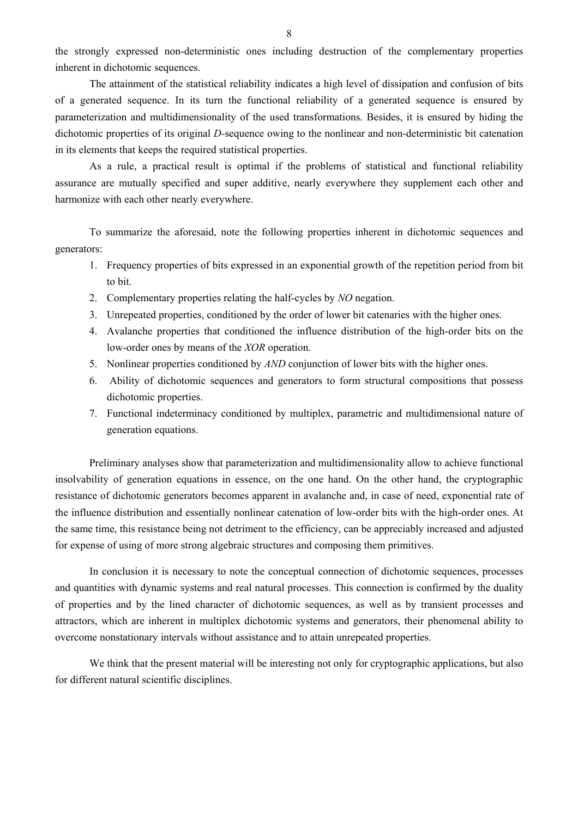the strongly expressed non-deterministic ones including destruction of the complementary properties inherent in dichotomic sequences.

The attainment of the statistical reliability indicates a high level of dissipation and confusion of bits of a generated sequence. In its turn the functional reliability of a generated sequence is ensured by parameterization and multidimensionality of the used transformations. Besides, it is ensured by hiding the dichotomic properties of its original *D-*sequence owing to the nonlinear and non-deterministic bit catenation in its elements that keeps the required statistical properties.

As a rule, a practical result is optimal if the problems of statistical and functional reliability assurance are mutually specified and super additive, nearly everywhere they supplement each other and harmonize with each other nearly everywhere.

To summarize the aforesaid, note the following properties inherent in dichotomic sequences and generators:

- 1. Frequency properties of bits expressed in an exponential growth of the repetition period from bit to bit.
- 2. Complementary properties relating the half-cycles by *NO* negation.
- 3. Unrepeated properties, conditioned by the order of lower bit catenaries with the higher ones.
- 4. Avalanche properties that conditioned the influence distribution of the high-order bits on the low-order ones by means of the *XOR* operation.
- 5. Nonlinear properties conditioned by *AND* conjunction of lower bits with the higher ones.
- 6. Ability of dichotomic sequences and generators to form structural compositions that possess dichotomic properties.
- 7. Functional indeterminacy conditioned by multiplex, parametric and multidimensional nature of generation equations.

Preliminary analyses show that parameterization and multidimensionality allow to achieve functional insolvability of generation equations in essence, on the one hand. On the other hand, the cryptographic resistance of dichotomic generators becomes apparent in avalanche and, in case of need, exponential rate of the influence distribution and essentially nonlinear catenation of low-order bits with the high-order ones. At the same time, this resistance being not detriment to the efficiency, can be appreciably increased and adjusted for expense of using of more strong algebraic structures and composing them primitives.

In conclusion it is necessary to note the conceptual connection of dichotomic sequences, processes and quantities with dynamic systems and real natural processes. This connection is confirmed by the duality of properties and by the lined character of dichotomic sequences, as well as by transient processes and attractors, which are inherent in multiplex dichotomic systems and generators, their phenomenal ability to overcome nonstationary intervals without assistance and to attain unrepeated properties.

We think that the present material will be interesting not only for cryptographic applications, but also for different natural scientific disciplines.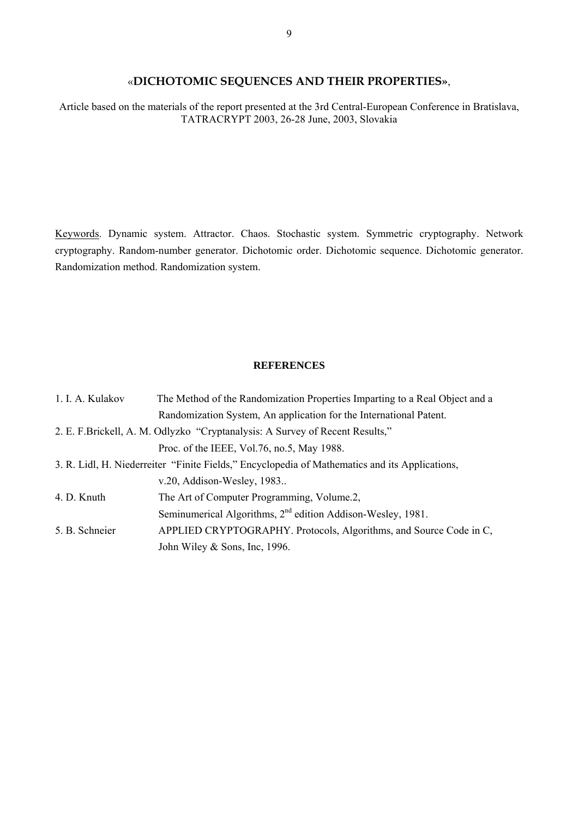# «**DICHOTOMIC SEQUENCES AND THEIR PROPERTIES»**,

Article based on the materials of the report presented at the 3rd Central-European Conference in Bratislava, TATRACRYPT 2003, 26-28 June, 2003, Slovakia

Keywords. Dynamic system. Attractor. Chaos. Stochastic system. Symmetric cryptography. Network cryptography. Random-number generator. Dichotomic order. Dichotomic sequence. Dichotomic generator. Randomization method. Randomization system.

### **REFERENCES**

| 1. I. A. Kulakov | The Method of the Randomization Properties Imparting to a Real Object and a                    |  |  |
|------------------|------------------------------------------------------------------------------------------------|--|--|
|                  | Randomization System, An application for the International Patent.                             |  |  |
|                  | 2. E. F. Brickell, A. M. Odlyzko "Cryptanalysis: A Survey of Recent Results,"                  |  |  |
|                  | Proc. of the IEEE, Vol. 76, no. 5, May 1988.                                                   |  |  |
|                  | 3. R. Lidl, H. Niederreiter "Finite Fields," Encyclopedia of Mathematics and its Applications, |  |  |
|                  | v.20, Addison-Wesley, 1983                                                                     |  |  |
| 4. D. Knuth      | The Art of Computer Programming, Volume.2,                                                     |  |  |
|                  | Seminumerical Algorithms, 2 <sup>nd</sup> edition Addison-Wesley, 1981.                        |  |  |
| 5. B. Schneier   | APPLIED CRYPTOGRAPHY. Protocols, Algorithms, and Source Code in C,                             |  |  |
|                  | John Wiley & Sons, Inc. 1996.                                                                  |  |  |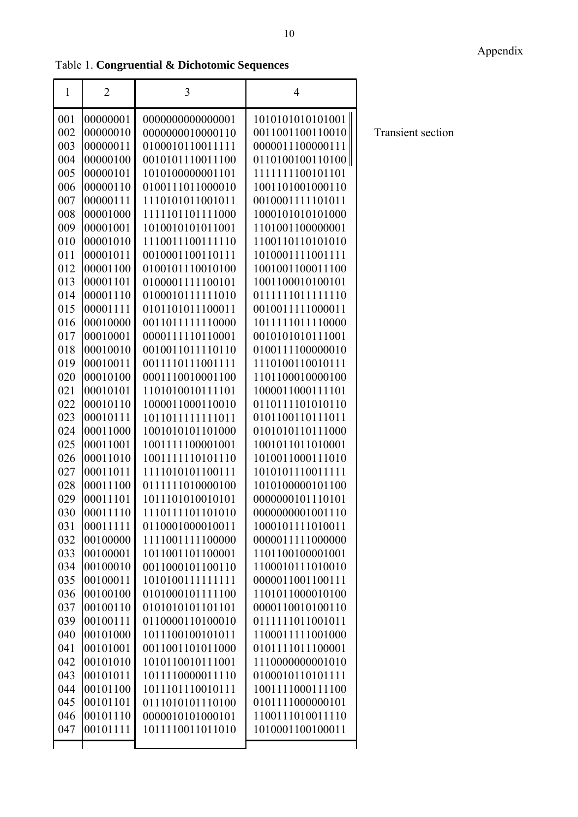Table 1. Congruential & Dichotomic Sequences

| $\mathbf{1}$ | $\overline{2}$        | 3                                    | $\overline{4}$                       |                          |
|--------------|-----------------------|--------------------------------------|--------------------------------------|--------------------------|
| 001          | 00000001              | 0000000000000001                     | 1010101010101001                     |                          |
| 002          | 00000010              | 0000000010000110                     | 0011001100110010                     | <b>Transient section</b> |
| 003          | 00000011              | 0100010110011111                     | 0000011100000111                     |                          |
| 004          | 00000100              | 0010101110011100                     | 0110100100110100                     |                          |
| 005          | 00000101              | 1010100000001101                     | 1111111100101101                     |                          |
| 006          | 00000110              | 0100111011000010                     | 1001101001000110                     |                          |
| 007          | 00000111              | 1110101011001011                     | 0010001111101011                     |                          |
| 008          | 00001000              | 1111101101111000                     | 1000101010101000                     |                          |
| 009          | 00001001              | 1010010101011001                     | 1101001100000001                     |                          |
| 010          | 00001010              | 1110011100111110                     | 1100110110101010                     |                          |
| 011          | 00001011              | 0010001100110111                     | 1010001111001111                     |                          |
| 012          | 00001100              | 0100101110010100                     | 1001001100011100                     |                          |
| 013          | 00001101              | 0100001111100101                     | 1001100010100101                     |                          |
| 014          | 00001110              | 0100010111111010                     | 0111111011111110                     |                          |
| 015          | 00001111              | 0101101011100011                     | 0010011111000011                     |                          |
| 016          | 00010000              | 0011011111110000                     | 1011111011110000                     |                          |
| 017          | 00010001              | 0000111110110001                     | 0010101010111001                     |                          |
| 018          | 00010010              | 0010011011110110                     | 0100111100000010                     |                          |
| 019          | 00010011              | 0011110111001111                     | 1110100110010111                     |                          |
| 020          | 00010100              | 0001110010001100                     | 1101100010000100                     |                          |
| 021          | 00010101              | 1101010010111101                     | 1000011000111101                     |                          |
| 022          | 00010110              | 1000011000110010                     | 0110111101010110                     |                          |
| 023          | 00010111              | 1011011111111011                     | 0101100110111011                     |                          |
| 024          | 00011000              | 1001010101101000                     | 0101010110111000                     |                          |
| 025          | 00011001              | 1001111100001001                     | 1001011011010001                     |                          |
| 026          | 00011010              | 1001111110101110                     | 1010011000111010                     |                          |
| 027          | 00011011              | 1111010101100111                     | 1010101110011111                     |                          |
| 028          | 00011100              | 0111111010000100                     | 1010100000101100                     |                          |
| 029          | 00011101              | 1011101010010101                     | 0000000101110101                     |                          |
| 030<br>031   | 00011110 <br>00011111 | 1110111101101010<br>0110001000010011 | 0000000001001110<br>1000101111010011 |                          |
| 032          | 00100000              | 1111001111100000                     | 0000011111000000                     |                          |
| 033          | 00100001              | 1011001101100001                     | 1101100100001001                     |                          |
| 034          | 00100010              | 0011000101100110                     | 1100010111010010                     |                          |
| 035          | 00100011              | 1010100111111111                     | 0000011001100111                     |                          |
| 036          | 00100100              | 0101000101111100                     | 1101011000010100                     |                          |
| 037          | 00100110              | 0101010101101101                     | 0000110010100110                     |                          |
| 039          | 00100111              | 0110000110100010                     | 0111111011001011                     |                          |
| 040          | 00101000              | 1011100100101011                     | 1100011111001000                     |                          |
| 041          | 00101001              | 0011001101011000                     | 0101111011100001                     |                          |
| 042          | 00101010              | 1010110010111001                     | 1110000000001010                     |                          |
| 043          | 00101011              | 1011110000011110                     | 0100010110101111                     |                          |
| 044          | 00101100              | 1011101110010111                     | 1001111000111100                     |                          |
| 045          | 00101101              | 0111010101110100                     | 0101111000000101                     |                          |
| 046          | 00101110              | 0000010101000101                     | 1100111010011110                     |                          |
| 047          | 00101111              | 1011110011011010                     | 1010001100100011                     |                          |
|              |                       |                                      |                                      |                          |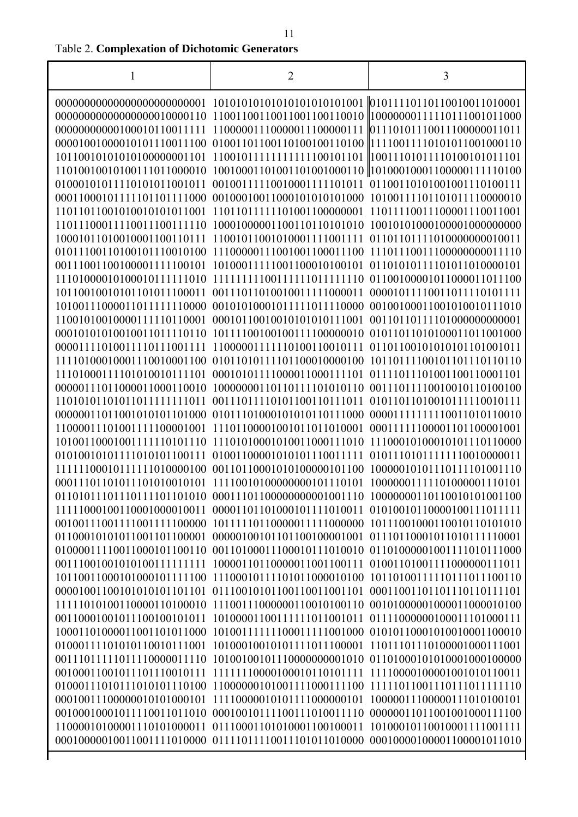| 1 | $\overline{2}$                                                                   | 3                          |
|---|----------------------------------------------------------------------------------|----------------------------|
|   |                                                                                  |                            |
|   |                                                                                  |                            |
|   |                                                                                  |                            |
|   |                                                                                  |                            |
|   |                                                                                  |                            |
|   |                                                                                  |                            |
|   |                                                                                  |                            |
|   |                                                                                  |                            |
|   |                                                                                  |                            |
|   |                                                                                  |                            |
|   |                                                                                  |                            |
|   |                                                                                  |                            |
|   |                                                                                  |                            |
|   |                                                                                  |                            |
|   |                                                                                  |                            |
|   |                                                                                  |                            |
|   |                                                                                  |                            |
|   |                                                                                  |                            |
|   |                                                                                  |                            |
|   |                                                                                  |                            |
|   | 11101000111101010010111101 00010101111000011000111101 01111011101001100110001101 |                            |
|   |                                                                                  |                            |
|   |                                                                                  |                            |
|   |                                                                                  |                            |
|   |                                                                                  |                            |
|   |                                                                                  |                            |
|   | 11111100010111111010000100 00110110001010100000101100 10000010101110111101001110 |                            |
|   |                                                                                  |                            |
|   |                                                                                  |                            |
|   |                                                                                  |                            |
|   |                                                                                  |                            |
|   |                                                                                  |                            |
|   |                                                                                  |                            |
|   |                                                                                  |                            |
|   | 10110011000101000101111100 11100010111101011000010100                            | 10110100111110111011100110 |
|   | 00001001100101010101101101 01110010101100110011001101                            | 00011001101101110110111101 |
|   |                                                                                  | 00101000001000011000010100 |
|   |                                                                                  | 01111000000100011101000111 |
|   |                                                                                  |                            |
|   | 01000111101010110010111001 10100010010101111011100001 11011101110100001000111001 |                            |
|   |                                                                                  | 01101000101010001000100000 |
|   |                                                                                  | 11110000100001001010110011 |
|   | 01000111010111010101110100 11000000101001111000111100                            | 11111011001110111011111110 |
|   |                                                                                  | 10000011100000111010100101 |
|   | 00100010001011110011011010 00010010111100111010011110                            | 00000011011001001000111100 |
|   |                                                                                  | 10100010110010001111001111 |
|   |                                                                                  |                            |

I